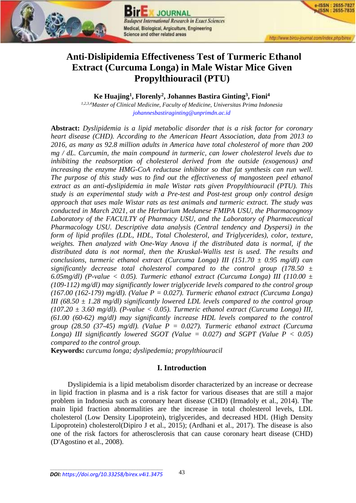

**JOURNAL Budapest International Research in Exact Sciences** Medical, Biological, Argiculture, Engineering Science and other related areas

e-ISSN : 2655-7827 -ISSN: 2655-7835

# **Anti-Dislipidemia Effectiveness Test of Turmeric Ethanol Extract (Curcuma Longa) in Male Wistar Mice Given Propylthiouracil (PTU)**

**Ke Huajing<sup>1</sup> , Florenly<sup>2</sup> , Johannes Bastira Ginting<sup>3</sup> , Fioni<sup>4</sup>**

*1,2,3,4Master of Clinical Medicine, Faculty of Medicine, Universitas Prima Indonesia [johannesbastiraginting@unprimdn.ac.id](mailto:johannesbastiraginting@unprimdn.ac.id)*

**Abstract:** *Dyslipidemia is a lipid metabolic disorder that is a risk factor for coronary heart disease (CHD). According to the American Heart Association, data from 2013 to 2016, as many as 92.8 million adults in America have total cholesterol of more than 200 mg / dL. Curcumin, the main compound in turmeric, can lower cholesterol levels due to inhibiting the reabsorption of cholesterol derived from the outside (exogenous) and increasing the enzyme HMG-CoA reductase inhibitor so that fat synthesis can run well. The purpose of this study was to find out the effectiveness of mangosteen peel ethanol extract as an anti-dyslipidemia in male Wistar rats given Propylthiouracil (PTU). This study is an experimental study with a Pre-test and Post-test group only control design approach that uses male Wistar rats as test animals and turmeric extract. The study was conducted in March 2021, at the Herbarium Medanese FMIPA USU, the Pharmacognosy Laboratory of the FACULTY of Pharmacy USU, and the Laboratory of Pharmaceutical Pharmacology USU. Descriptive data analysis (Central tendency and Dyspersi) in the form of lipid profiles (LDL, HDL, Total Cholesterol, and Triglycerides), color, texture, weights. Then analyzed with One-Way Anova if the distributed data is normal, if the distributed data is not normal, then the Kruskal-Wallis test is used. The results and conclusions, turmeric ethanol extract (Curcuma Longa) III (151.70 ± 0.95 mg/dl) can significantly decrease total cholesterol compared to the control group (178.50 ± 6.05mg/dl) (P-value < 0.05). Turmeric ethanol extract (Curcuma Longa) III (110.00 ± (109-112) mg/dl) may significantly lower triglyceride levels compared to the control group (167.00 (162-179) mg/dl). (Value P = 0.027). Turmeric ethanol extract (Curcuma Longa) III (68.50 ± 1.28 mg/dl) significantly lowered LDL levels compared to the control group (107.20 ± 3.60 mg/dl). (P-value < 0.05). Turmeric ethanol extract (Curcuma Longa) III, (61.00 (60-62) mg/dl) may significantly increase HDL levels compared to the control group (28.50 (37-45) mg/dl). (Value P = 0.027). Turmeric ethanol extract (Curcuma Longa) III significantly lowered SGOT (Value = 0.027) and SGPT (Value P < 0.05) compared to the control group.* 

**Keywords:** *curcuma longa; dyslipedemia; propylthiouracil*

# **I. Introduction**

Dyslipidemia is a lipid metabolism disorder characterized by an increase or decrease in lipid fraction in plasma and is a risk factor for various diseases that are still a major problem in Indonesia such as coronary heart disease (CHD) (Irmadoly et al., 2014). The main lipid fraction abnormalities are the increase in total cholesterol levels, LDL cholesterol (Low Density Lipoprotein), triglycerides, and decreased HDL (High Density Lipoprotein) cholesterol(Dipiro J et al., 2015); (Ardhani et al., 2017). The disease is also one of the risk factors for atherosclerosis that can cause coronary heart disease (CHD) (D'Agostino et al., 2008).

 $\overline{\phantom{a}}$  , and the contract of the contract of the contract of the contract of the contract of the contract of the contract of the contract of the contract of the contract of the contract of the contract of the contrac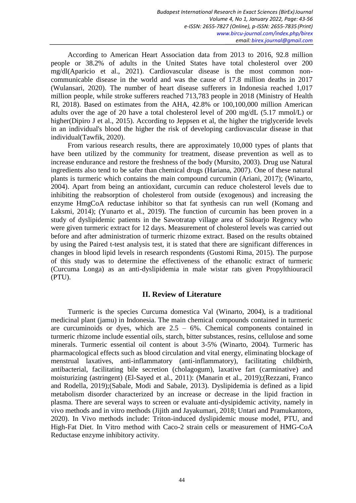According to American Heart Association data from 2013 to 2016, 92.8 million people or 38.2% of adults in the United States have total cholesterol over 200 mg/dl(Aparicio et al., 2021). Cardiovascular disease is the most common noncommunicable disease in the world and was the cause of 17.8 million deaths in 2017 (Wulansari, 2020). The number of heart disease sufferers in Indonesia reached 1,017 million people, while stroke sufferers reached 713,783 people in 2018 (Ministry of Health RI, 2018). Based on estimates from the AHA, 42.8% or 100,100,000 million American adults over the age of 20 have a total cholesterol level of 200 mg/dL (5.17 mmol/L) or higher(Dipiro J et al., 2015). According to Jeppsen et al, the higher the triglyceride levels in an individual's blood the higher the risk of developing cardiovascular disease in that individual(Tawfik, 2020).

From various research results, there are approximately 10,000 types of plants that have been utilized by the community for treatment, disease prevention as well as to increase endurance and restore the freshness of the body (Mursito, 2003). Drug use Natural ingredients also tend to be safer than chemical drugs (Hariana, 2007). One of these natural plants is turmeric which contains the main compound curcumin (Ariani, 2017); (Winarto, 2004). Apart from being an antioxidant, curcumin can reduce cholesterol levels due to inhibiting the reabsorption of cholesterol from outside (exogenous) and increasing the enzyme HmgCoA reductase inhibitor so that fat synthesis can run well (Komang and Laksmi, 2014); (Yunarto et al., 2019). The function of curcumin has been proven in a study of dyslipidemic patients in the Sawotratap village area of Sidoarjo Regency who were given turmeric extract for 12 days. Measurement of cholesterol levels was carried out before and after administration of turmeric rhizome extract. Based on the results obtained by using the Paired t-test analysis test, it is stated that there are significant differences in changes in blood lipid levels in research respondents (Gustomi Rima, 2015). The purpose of this study was to determine the effectiveness of the ethanolic extract of turmeric (Curcuma Longa) as an anti-dyslipidemia in male wistar rats given Propylthiouracil (PTU).

# **II. Review of Literature**

Turmeric is the species Curcuma domestica Val (Winarto, 2004), is a traditional medicinal plant (jamu) in Indonesia. The main chemical compounds contained in turmeric are curcuminoids or dyes, which are  $2.5 - 6%$ . Chemical components contained in turmeric rhizome include essential oils, starch, bitter substances, resins, cellulose and some minerals. Turmeric essential oil content is about 3-5% (Winarto, 2004). Turmeric has pharmacological effects such as blood circulation and vital energy, eliminating blockage of menstrual laxatives, anti-inflammatory (anti-inflammatory), facilitating childbirth, antibacterial, facilitating bile secretion (cholagogum), laxative fart (carminative) and moisturizing (astringent) (El-Sayed et al., 2011): (Manarin et al., 2019);(Rezzani, Franco and Rodella, 2019);(Sabale, Modi and Sabale, 2013). Dyslipidemia is defined as a lipid metabolism disorder characterized by an increase or decrease in the lipid fraction in plasma. There are several ways to screen or evaluate anti-dysipidemic activity, namely in vivo methods and in vitro methods (Jijith and Jayakumari, 2018; Untari and Pramukantoro, 2020). In Vivo methods include: Triton-induced dyslipidemic mouse model, PTU, and High-Fat Diet. In Vitro method with Caco-2 strain cells or measurement of HMG-CoA Reductase enzyme inhibitory activity.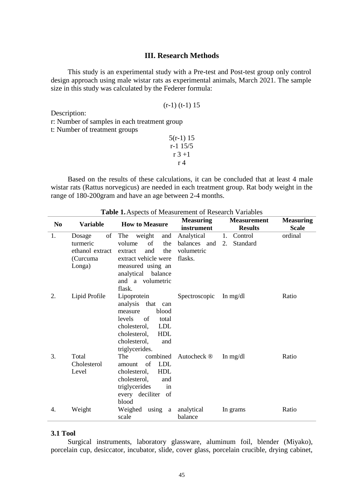# **III. Research Methods**

This study is an experimental study with a Pre-test and Post-test group only control design approach using male wistar rats as experimental animals, March 2021. The sample size in this study was calculated by the Federer formula:

| $(r-1)$ $(t-1)$ 15 |  |  |
|--------------------|--|--|
|                    |  |  |

Description:

r: Number of samples in each treatment group

t: Number of treatment groups

| $5(r-1)$ 15 |
|-------------|
| r-1 15/5    |
| r 3 + 1     |
| r 4         |

Based on the results of these calculations, it can be concluded that at least 4 male wistar rats (Rattus norvegicus) are needed in each treatment group. Rat body weight in the range of 180-200gram and have an age between 2-4 months.

| N <sub>0</sub> | <b>Variable</b>      | <b>How to Measure</b>                         | <b>Measuring</b><br>instrument | <b>Measurement</b><br><b>Results</b> | <b>Measuring</b><br><b>Scale</b> |
|----------------|----------------------|-----------------------------------------------|--------------------------------|--------------------------------------|----------------------------------|
| 1.             | of<br>Dosage         | The<br>weight<br>and                          | Analytical                     | 1. Control                           | ordinal                          |
|                | turmeric             | volume<br>of<br>the                           | balances and                   | Standard<br>2.                       |                                  |
|                | ethanol extract      | and<br>the<br>extract                         | volumetric                     |                                      |                                  |
|                | (Curcuma             | extract vehicle were                          | flasks.                        |                                      |                                  |
|                | Longa)               | measured using an                             |                                |                                      |                                  |
|                |                      | analytical balance                            |                                |                                      |                                  |
|                |                      | and a volumetric<br>flask.                    |                                |                                      |                                  |
| 2.             | Lipid Profile        | Lipoprotein                                   | Spectroscopic                  | In $mg/dl$                           | Ratio                            |
|                |                      | analysis that<br>can                          |                                |                                      |                                  |
|                |                      | blood<br>measure                              |                                |                                      |                                  |
|                |                      | levels<br>of<br>total                         |                                |                                      |                                  |
|                |                      | <b>LDL</b><br>cholesterol,                    |                                |                                      |                                  |
|                |                      | <b>HDL</b><br>cholesterol,                    |                                |                                      |                                  |
|                |                      | cholesterol,<br>and                           |                                |                                      |                                  |
| 3.             |                      | triglycerides.                                |                                |                                      |                                  |
|                | Total<br>Cholesterol | combined<br>The<br>of<br><b>LDL</b><br>amount | Autocheck <sup>®</sup>         | In $mg/dl$                           | Ratio                            |
|                | Level                | <b>HDL</b><br>cholesterol,                    |                                |                                      |                                  |
|                |                      | cholesterol,<br>and                           |                                |                                      |                                  |
|                |                      | triglycerides<br>in                           |                                |                                      |                                  |
|                |                      | every deciliter of                            |                                |                                      |                                  |
|                |                      | blood                                         |                                |                                      |                                  |
| 4.             | Weight               | Weighed<br>using a                            | analytical                     | In grams                             | Ratio                            |
|                |                      | scale                                         | balance                        |                                      |                                  |

**Table 1.**Aspects of Measurement of Research Variables

# **3.1 Tool**

Surgical instruments, laboratory glassware, aluminum foil, blender (Miyako), porcelain cup, desiccator, incubator, slide, cover glass, porcelain crucible, drying cabinet,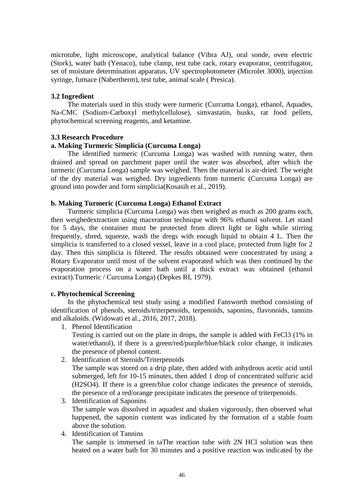microtube, light microscope, analytical balance (Vibra AJ), oral sonde, oven electric (Stork), water bath (Yenaco), tube clamp, test tube rack, rotary evaporator, centrifugator, set of moisture determination apparatus, UV spectrophotometer (Microlet 3000), injection syringe, furnace (Nabertherm), test tube, animal scale ( Presica).

# **3.2 Ingredient**

The materials used in this study were turmeric (Curcuma Longa), ethanol, Aquades, Na-CMC (Sodium-Carboxyl methylcellulose), simvastatin, husks, rat food pellets, phytochemical screening reagents, and ketamine.

# **3.3 Research Procedure**

# **a. Making Turmeric Simplicia (Curcuma Longa)**

The identified turmeric (Curcuma Longa) was washed with running water, then drained and spread on parchment paper until the water was absorbed, after which the turmeric (Curcuma Longa) sample was weighed. Then the material is air-dried. The weight of the dry material was weighed. Dry ingredients from turmeric (Curcuma Longa) are ground into powder and form simplicia(Kosasih et al., 2019).

# **b. Making Turmeric (Curcuma Longa) Ethanol Extract**

Turmeric simplicia (Curcuma Longa) was then weighed as much as 200 grams each, then weighedextraction using maceration technique with 96% ethanol solvent. Let stand for 5 days, the container must be protected from direct light or light while stirring frequently, shred, squeeze, wash the dregs with enough liquid to obtain 4 L. Then the simplicia is transferred to a closed vessel, leave in a cool place, protected from light for 2 day. Then this simplicia is filtered. The results obtained were concentrated by using a Rotary Evaporator until most of the solvent evaporated which was then continued by the evaporation process on a water bath until a thick extract was obtained (ethanol extract).Turmeric / Curcuma Longa) (Depkes RI, 1979).

### **c. Phytochemical Screening**

In the phytochemical test study using a modified Fansworth method consisting of identification of phenols, steroids/triterpenoids, terpenoids, saponins, flavonoids, tannins and alkaloids. (Widowati et al., 2016, 2017, 2018).

1. Phenol Identification

Testing is carried out on the plate in drops, the sample is added with FeCl3 (1% in water/ethanol), if there is a green/red/purple/blue/black color change, it indicates the presence of phenol content.

2. Identification of Steroids/Triterpenoids

The sample was stored on a drip plate, then added with anhydrous acetic acid until submerged, left for 10-15 minutes, then added 1 drop of concentrated sulfuric acid (H2SO4). If there is a green/blue color change indicates the presence of steroids, the presence of a red/orange precipitate indicates the presence of triterpenoids.

- 3. Identification of Saponins The sample was dissolved in aquadest and shaken vigorously, then observed what happened, the saponin content was indicated by the formation of a stable foam above the solution.
- 4. Identification of Tannins

The sample is immersed in taThe reaction tube with 2N HCl solution was then heated on a water bath for 30 minutes and a positive reaction was indicated by the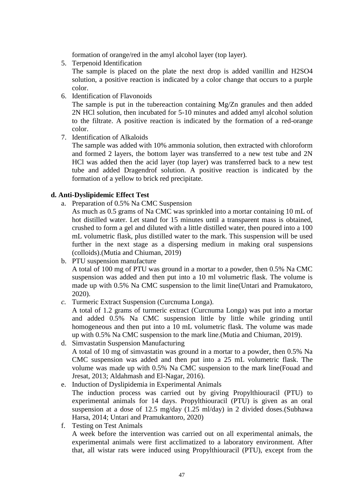formation of orange/red in the amyl alcohol layer (top layer).

5. Terpenoid Identification

The sample is placed on the plate the next drop is added vanillin and H2SO4 solution, a positive reaction is indicated by a color change that occurs to a purple color.

6. Identification of Flavonoids

The sample is put in the tubereaction containing Mg/Zn granules and then added 2N HCl solution, then incubated for 5-10 minutes and added amyl alcohol solution to the filtrate. A positive reaction is indicated by the formation of a red-orange color.

7. Identification of Alkaloids

The sample was added with 10% ammonia solution, then extracted with chloroform and formed 2 layers, the bottom layer was transferred to a new test tube and 2N HCl was added then the acid layer (top layer) was transferred back to a new test tube and added Dragendrof solution. A positive reaction is indicated by the formation of a yellow to brick red precipitate.

# **d. Anti-Dyslipidemic Effect Test**

a. Preparation of 0.5% Na CMC Suspension

As much as 0.5 grams of Na CMC was sprinkled into a mortar containing 10 mL of hot distilled water. Let stand for 15 minutes until a transparent mass is obtained, crushed to form a gel and diluted with a little distilled water, then poured into a 100 mL volumetric flask, plus distilled water to the mark. This suspension will be used further in the next stage as a dispersing medium in making oral suspensions (colloids).(Mutia and Chiuman, 2019)

b. PTU suspension manufacture

A total of 100 mg of PTU was ground in a mortar to a powder, then 0.5% Na CMC suspension was added and then put into a 10 ml volumetric flask. The volume is made up with 0.5% Na CMC suspension to the limit line(Untari and Pramukatoro, 2020).

*c.* Turmeric Extract Suspension (Curcnuma Longa).

A total of 1.2 grams of turmeric extract (Curcnuma Longa) was put into a mortar and added 0.5% Na CMC suspension little by little while grinding until homogeneous and then put into a 10 mL volumetric flask. The volume was made up with 0.5% Na CMC suspension to the mark line.(Mutia and Chiuman, 2019).

- d. Simvastatin Suspension Manufacturing A total of 10 mg of simvastatin was ground in a mortar to a powder, then 0.5% Na CMC suspension was added and then put into a 25 mL volumetric flask. The volume was made up with 0.5% Na CMC suspension to the mark line(Fouad and Jresat, 2013; Aldahmash and El-Nagar, 2016).
- e. Induction of Dyslipidemia in Experimental Animals The induction process was carried out by giving Propylthiouracil (PTU) to experimental animals for 14 days. Propylthiouracil (PTU) is given as an oral suspension at a dose of 12.5 mg/day (1.25 ml/day) in 2 divided doses.(Subhawa Harsa, 2014; Untari and Pramukantoro, 2020)
- f. Testing on Test Animals A week before the intervention was carried out on all experimental animals, the experimental animals were first acclimatized to a laboratory environment. After that, all wistar rats were induced using Propylthiouracil (PTU), except from the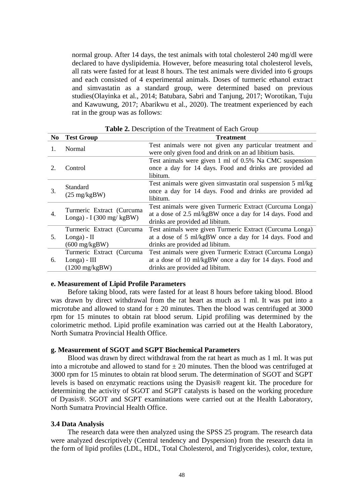normal group. After 14 days, the test animals with total cholesterol 240 mg/dl were declared to have dyslipidemia. However, before measuring total cholesterol levels, all rats were fasted for at least 8 hours. The test animals were divided into 6 groups and each consisted of 4 experimental animals. Doses of turmeric ethanol extract and simvastatin as a standard group, were determined based on previous studies(Olayinka et al., 2014; Batubara, Sabri and Tanjung, 2017; Worotikan, Tuju and Kawuwung, 2017; Abarikwu et al., 2020). The treatment experienced by each rat in the group was as follows:

| N <sub>0</sub> | <b>Test Group</b>                                                         | <b>Treatment</b>                                                                                                                                         |
|----------------|---------------------------------------------------------------------------|----------------------------------------------------------------------------------------------------------------------------------------------------------|
| 1.             | Normal                                                                    | Test animals were not given any particular treatment and<br>were only given food and drink on an ad libitium basis.                                      |
| 2.             | Control                                                                   | Test animals were given 1 ml of 0.5% Na CMC suspension<br>once a day for 14 days. Food and drinks are provided ad<br>libitum.                            |
| 3.             | Standard<br>$(25 \text{ mg/kgBW})$                                        | Test animals were given simvastatin oral suspension 5 ml/kg<br>once a day for 14 days. Food and drinks are provided ad<br>libitum.                       |
| 4.             | Turmeric Extract (Curcuma<br>Longa) - I (300 mg/ $kgBW$ )                 | Test animals were given Turmeric Extract (Curcuma Longa)<br>at a dose of 2.5 ml/kgBW once a day for 14 days. Food and<br>drinks are provided ad libitum. |
| 5.             | Turmeric Extract (Curcuma<br>$Longa) - II$<br>$(600 \text{ mg/kgBW})$     | Test animals were given Turmeric Extract (Curcuma Longa)<br>at a dose of 5 ml/kgBW once a day for 14 days. Food and<br>drinks are provided ad libitum.   |
| 6.             | Turmeric Extract (Curcuma<br>$Longa)$ - $III$<br>$(1200 \text{ mg/kgBW})$ | Test animals were given Turmeric Extract (Curcuma Longa)<br>at a dose of 10 ml/kgBW once a day for 14 days. Food and<br>drinks are provided ad libitum.  |

**Table 2.** Description of the Treatment of Each Group

### **e. Measurement of Lipid Profile Parameters**

Before taking blood, rats were fasted for at least 8 hours before taking blood. Blood was drawn by direct withdrawal from the rat heart as much as 1 ml. It was put into a microtube and allowed to stand for  $\pm 20$  minutes. Then the blood was centrifuged at 3000 rpm for 15 minutes to obtain rat blood serum. Lipid profiling was determined by the colorimetric method. Lipid profile examination was carried out at the Health Laboratory, North Sumatra Provincial Health Office.

# **g. Measurement of SGOT and SGPT Biochemical Parameters**

Blood was drawn by direct withdrawal from the rat heart as much as 1 ml. It was put into a microtube and allowed to stand for  $\pm 20$  minutes. Then the blood was centrifuged at 3000 rpm for 15 minutes to obtain rat blood serum. The determination of SGOT and SGPT levels is based on enzymatic reactions using the Dyasis® reagent kit. The procedure for determining the activity of SGOT and SGPT catalysts is based on the working procedure of Dyasis®. SGOT and SGPT examinations were carried out at the Health Laboratory, North Sumatra Provincial Health Office.

#### **3.4 Data Analysis**

The research data were then analyzed using the SPSS 25 program. The research data were analyzed descriptively (Central tendency and Dyspersion) from the research data in the form of lipid profiles (LDL, HDL, Total Cholesterol, and Triglycerides), color, texture,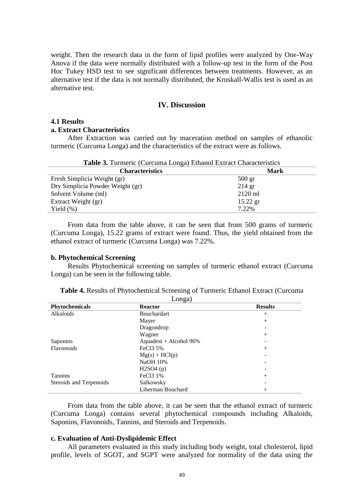weight. Then the research data in the form of lipid profiles were analyzed by One-Way Anova if the data were normally distributed with a follow-up test in the form of the Post Hoc Tukey HSD test to see significant differences between treatments. However, as an alternative test if the data is not normally distributed, the Kruskall-Wallis test is used as an alternative test.

# **IV. Discussion**

#### **4.1 Results**

### **a. Extract Characteristics**

After Extraction was carried out by maceration method on samples of ethanolic turmeric (Curcuma Longa) and the characteristics of the extract were as follows.

| <b>Table 3.</b> Turmeric (Curcuma Longa) Ethanol Extract Characteristics |  |  |  |  |
|--------------------------------------------------------------------------|--|--|--|--|
|--------------------------------------------------------------------------|--|--|--|--|

| <b>Characteristics</b>           | Mark             |
|----------------------------------|------------------|
| Fresh Simplicia Weight (gr)      | $500 \text{ gr}$ |
| Dry Simplicia Powder Weight (gr) | $214$ gr         |
| Solvent Volume (ml)              | $2120$ ml        |
| Extract Weight (gr)              | $15.22$ gr       |
| Yield $(\%)$                     | 7.22%            |

From data from the table above, it can be seen that from 500 grams of turmeric (Curcuma Longa), 15.22 grams of extract were found. Thus, the yield obtained from the ethanol extract of turmeric (Curcuma Longa) was 7.22%.

#### **b. Phytochemical Screening**

Results Phytochemical screening on samples of turmeric ethanol extract (Curcuma Longa) can be seen in the following table.

| Phytochemicals          | ، ب<br><b>Reactor</b>  | <b>Results</b>     |
|-------------------------|------------------------|--------------------|
| Alkaloids               | <b>Bouchardart</b>     | $+$                |
|                         | Mayer                  | $^{+}$             |
|                         | Dragondrop             |                    |
|                         | Wagner                 | $+$                |
| <b>Saponins</b>         | Aquadest + Alcohol 96% |                    |
| Flavonoids              | FeCl <sub>3</sub> 5%   | $^{+}$             |
|                         | $Mg(s) + HCl(p)$       |                    |
|                         | <b>NaOH 10%</b>        |                    |
|                         | H2SO4(p)               |                    |
| <b>Tannins</b>          | FeCl <sub>3</sub> 1%   | $^{+}$             |
| Steroids and Terpenoids | Salkowsky              |                    |
|                         | Liberman Bouchard      | $\hspace{0.1mm} +$ |

| <b>Table 4.</b> Results of Phytochemical Screening of Turmeric Ethanol Extract (Curcuma |  |
|-----------------------------------------------------------------------------------------|--|
| Longa)                                                                                  |  |

From data from the table above, it can be seen that the ethanol extract of turmeric (Curcuma Longa) contains several phytochemical compounds including Alkaloids, Saponins, Flavonoids, Tannins, and Steroids and Terpenoids.

#### **c. Evaluation of Anti-Dyslipidemic Effect**

All parameters evaluated in this study including body weight, total cholesterol, lipid profile, levels of SGOT, and SGPT were analyzed for normality of the data using the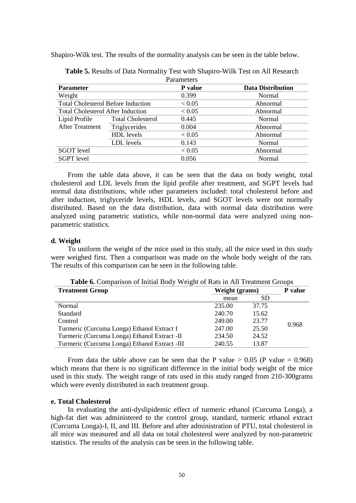Shapiro-Wilk test. The results of the normality analysis can be seen in the table below.

|                                           |                          | Parameters |                          |
|-------------------------------------------|--------------------------|------------|--------------------------|
| <b>Parameter</b>                          |                          | P value    | <b>Data Distribution</b> |
| Weight                                    |                          | 0.399      | Normal                   |
| <b>Total Cholesterol Before Induction</b> |                          | < 0.05     | Abnormal                 |
| <b>Total Cholesterol After Induction</b>  |                          | < 0.05     | Abnormal                 |
| Lipid Profile                             | <b>Total Cholesterol</b> | 0.445      | Normal                   |
| <b>After Treatment</b>                    | Triglycerides            | 0.004      | Abnormal                 |
|                                           | <b>HDL</b> levels        | < 0.05     | Abnormal                 |
|                                           | LDL levels               | 0.143      | <b>Normal</b>            |
| <b>SGOT</b> level                         |                          | < 0.05     | Abnormal                 |
| <b>SGPT</b> level                         |                          | 0.056      | Normal                   |

**Table 5.** Results of Data Normality Test with Shapiro-Wilk Test on All Research Parameters

From the table data above, it can be seen that the data on body weight, total cholesterol and LDL levels from the lipid profile after treatment, and SGPT levels had normal data distributions, while other parameters included: total cholesterol before and after induction, triglyceride levels, HDL levels, and SGOT levels were not normally distributed. Based on the data distribution, data with normal data distribution were analyzed using parametric statistics, while non-normal data were analyzed using nonparametric statistics.

# **d. Weight**

To uniform the weight of the mice used in this study, all the mice used in this study were weighed first. Then a comparison was made on the whole body weight of the rats. The results of this comparison can be seen in the following table.

| <b>Treatment Group</b>                        | Weight (grams) | P value |       |
|-----------------------------------------------|----------------|---------|-------|
|                                               | mean           | SD.     |       |
| Normal                                        | 235.00         | 37.75   |       |
| Standard                                      | 240.70         | 15.62   |       |
| Control                                       | 249.00         | 23.77   | 0.968 |
| Turmeric (Curcuma Longa) Ethanol Extract I    | 247.00         | 25.50   |       |
| Turmeric (Curcuma Longa) Ethanol Extract -II  | 234.50         | 24.52   |       |
| Turmeric (Curcuma Longa) Ethanol Extract -III | 240.55         | 13.87   |       |

**Table 6.** Comparison of Initial Body Weight of Rats in All Treatment Groups

From data the table above can be seen that the P value  $> 0.05$  (P value = 0.968) which means that there is no significant difference in the initial body weight of the mice used in this study. The weight range of rats used in this study ranged from 210-300grams which were evenly distributed in each treatment group.

### **e. Total Cholesterol**

In evaluating the anti-dyslipidemic effect of turmeric ethanol (Curcuma Longa), a high-fat diet was administered to the control group, standard, turmeric ethanol extract (Curcuma Longa)-I, II, and III. Before and after administration of PTU, total cholesterol in all mice was measured and all data on total cholesterol were analyzed by non-parametric statistics. The results of the analysis can be seen in the following table.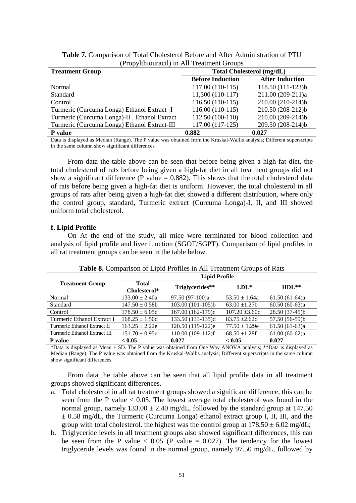| <b>Treatment Group</b>                        | <b>Total Cholesterol (mg/dL)</b> |                        |  |  |
|-----------------------------------------------|----------------------------------|------------------------|--|--|
|                                               | <b>Before Induction</b>          | <b>After Induction</b> |  |  |
| Normal                                        | 117.00 (110-115)                 | 118.50 (111-123)b      |  |  |
| <b>Standard</b>                               | 11,300 (110-117)                 | 211.00 (209-211)a      |  |  |
| Control                                       | 116.50 (110-115)                 | 210.00 (210-214)b      |  |  |
| Turmeric (Curcuma Longa) Ethanol Extract -I   | 116.00 (110-115)                 | 210.50 (208-212)b      |  |  |
| Turmeric (Curcuma Longa)-II . Ethanol Extract | 112.50 (100-110)                 | 210.00 (209-214)b      |  |  |
| Turmeric (Curcuma Longa) Ethanol Extract-III  | 117.00 (117-125)                 | 209.50 (208-214)b      |  |  |
| P value                                       | 0.882                            | 0.027                  |  |  |

**Table 7.** Comparison of Total Cholesterol Before and After Administration of PTU (Propylthiouracil) in All Treatment Groups

Data is displayed as Median (Range). The P value was obtained from the Kruskal-Wallis analysis; Different superscripts in the same column show significant differences

From data the table above can be seen that before being given a high-fat diet, the total cholesterol of rats before being given a high-fat diet in all treatment groups did not show a significant difference (P value  $= 0.882$ ). This shows that the total cholesterol data of rats before being given a high-fat diet is uniform. However, the total cholesterol in all groups of rats after being given a high-fat diet showed a different distribution, where only the control group, standard, Turmeric extract (Curcuma Longa)-I, II, and III showed uniform total cholesterol.

# **f. Lipid Profile**

On At the end of the study, all mice were terminated for blood collection and analysis of lipid profile and liver function (SGOT/SGPT). Comparison of lipid profiles in all rat treatment groups can be seen in the table below.

|                              | <b>Lipid Profile</b>         |                   |                            |                 |  |
|------------------------------|------------------------------|-------------------|----------------------------|-----------------|--|
| <b>Treatment Group</b>       | <b>Total</b><br>Cholesterol* |                   | Triglycerides**<br>$LDL^*$ |                 |  |
| Normal                       | $133.00 \pm 2.40a$           | 97.50 (97-100)a   | $53.50 \pm 1.64a$          | $61.50(61-64)a$ |  |
| Standard                     | $147.50 \pm 0.58$            | 103.00 (101-105)b | $63.00 \pm 1.27$ b         | $60.50(60-63)a$ |  |
| Control                      | $178.50 \pm 6.05c$           | 167.00 (162-179)c | $107.20 \pm 3.60c$         | $28.50(37-45)b$ |  |
| Turmeric Ethanol Extract I   | $168.25 \pm 1.50d$           | 133.50 (133-135)d | $83.75 \pm 2.62$ d         | 57.50 (56-59)b  |  |
| Turmeric Ethanol Extract II  | $163.25 \pm 2.22e$           | 120.50 (119-122)e | $77.50 \pm 1.29e$          | $61.50(61-63)a$ |  |
| Turmeric Ethanol Extract III | $151.70 \pm 0.95e$           | 110.00 (109-112)f | $68.50 \pm 1.28$ f         | $61.00(60-62)a$ |  |
| <b>P</b> value               | < 0.05                       | 0.027             | < 0.05                     | 0.027           |  |

**Table 8.** Comparison of Lipid Profiles in All Treatment Groups of Rats

\*Data is displayed as Mean ± SD. The P value was obtained from One Way ANOVA analysis; \*\*Data is displayed as Median (Range). The P value was obtained from the Kruskal-Wallis analysis; Different superscripts in the same column show significant differences

From data the table above can be seen that all lipid profile data in all treatment groups showed significant differences.

- a. Total cholesterol in all rat treatment groups showed a significant difference, this can be seen from the P value < 0.05. The lowest average total cholesterol was found in the normal group, namely  $133.00 \pm 2.40$  mg/dL, followed by the standard group at 147.50  $\pm$  0.58 mg/dL, the Turmeric (Curcuma Longa) ethanol extract group I, II, III, and the group with total cholesterol. the highest was the control group at  $178.50 \pm 6.02$  mg/dL;
- b. Triglyceride levels in all treatment groups also showed significant differences, this can be seen from the P value  $< 0.05$  (P value  $= 0.027$ ). The tendency for the lowest triglyceride levels was found in the normal group, namely 97.50 mg/dL, followed by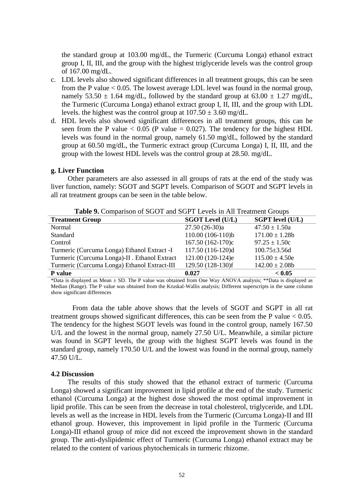the standard group at 103.00 mg/dL, the Turmeric (Curcuma Longa) ethanol extract group I, II, III, and the group with the highest triglyceride levels was the control group of 167.00 mg/dL.

- c. LDL levels also showed significant differences in all treatment groups, this can be seen from the P value < 0.05. The lowest average LDL level was found in the normal group, namely 53.50  $\pm$  1.64 mg/dL, followed by the standard group at 63.00  $\pm$  1.27 mg/dL, the Turmeric (Curcuma Longa) ethanol extract group I, II, III, and the group with LDL levels. the highest was the control group at  $107.50 \pm 3.60$  mg/dL.
- d. HDL levels also showed significant differences in all treatment groups, this can be seen from the P value  $< 0.05$  (P value = 0.027). The tendency for the highest HDL levels was found in the normal group, namely 61.50 mg/dL, followed by the standard group at 60.50 mg/dL, the Turmeric extract group (Curcuma Longa) I, II, III, and the group with the lowest HDL levels was the control group at 28.50. mg/dL.

### **g. Liver Function**

Other parameters are also assessed in all groups of rats at the end of the study was liver function, namely: SGOT and SGPT levels. Comparison of SGOT and SGPT levels in all rat treatment groups can be seen in the table below.

**Table 9.** Comparison of SGOT and SGPT Levels in All Treatment Groups

| <b>Treatment Group</b>                        | <b>SGOT Level (U/L)</b> | <b>SGPT</b> level (U/L) |
|-----------------------------------------------|-------------------------|-------------------------|
| Normal                                        | $27.50(26-30)a$         | $47.50 \pm 1.50a$       |
| Standard                                      | 110.00 (106-110)b       | $171.00 \pm 1.28b$      |
| Control                                       | 167.50 (162-170)c       | $97.25 \pm 1.50c$       |
| Turmeric (Curcuma Longa) Ethanol Extract -I   | 117.50 (116-120)d       | $100.75 \pm 3.56$ d     |
| Turmeric (Curcuma Longa)-II . Ethanol Extract | 121.00 (120-124)e       | $115.00 \pm 4.50e$      |
| Turmeric (Curcuma Longa) Ethanol Extract-III  | 129.50 (128-130)f       | $142.00 \pm 2.08b$      |
| P value                                       | 0.027                   | < 0.05                  |

\*Data is displayed as Mean  $\pm$  SD. The P value was obtained from One Way ANOVA analysis; \*\*Data is displayed as Median (Range). The P value was obtained from the Kruskal-Wallis analysis; Different superscripts in the same column show significant differences

From data the table above shows that the levels of SGOT and SGPT in all rat treatment groups showed significant differences, this can be seen from the P value  $< 0.05$ . The tendency for the highest SGOT levels was found in the control group, namely 167.50 U/L and the lowest in the normal group, namely 27.50 U/L. Meanwhile, a similar picture was found in SGPT levels, the group with the highest SGPT levels was found in the standard group, namely 170.50 U/L and the lowest was found in the normal group, namely 47.50 U/L.

#### **4.2 Discussion**

The results of this study showed that the ethanol extract of turmeric (Curcuma Longa) showed a significant improvement in lipid profile at the end of the study. Turmeric ethanol (Curcuma Longa) at the highest dose showed the most optimal improvement in lipid profile. This can be seen from the decrease in total cholesterol, triglyceride, and LDL levels as well as the increase in HDL levels from the Turmeric (Curcuma Longa)-II and III ethanol group. However, this improvement in lipid profile in the Turmeric (Curcuma Longa)-III ethanol group of mice did not exceed the improvement shown in the standard group. The anti-dyslipidemic effect of Turmeric (Curcuma Longa) ethanol extract may be related to the content of various phytochemicals in turmeric rhizome.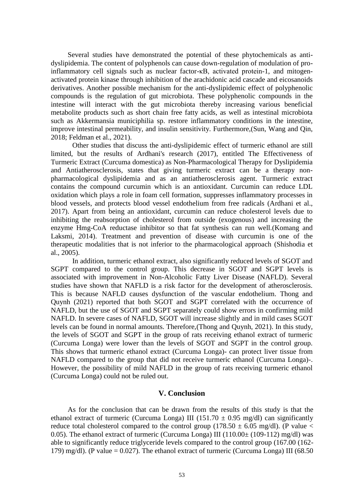Several studies have demonstrated the potential of these phytochemicals as antidyslipidemia. The content of polyphenols can cause down-regulation of modulation of proinflammatory cell signals such as nuclear factor-κB, activated protein-1, and mitogenactivated protein kinase through inhibition of the arachidonic acid cascade and eicosanoids derivatives. Another possible mechanism for the anti-dyslipidemic effect of polyphenolic compounds is the regulation of gut microbiota. These polyphenolic compounds in the intestine will interact with the gut microbiota thereby increasing various beneficial metabolite products such as short chain free fatty acids, as well as intestinal microbiota such as Akkermansia municiphilia sp. restore inflammatory conditions in the intestine, improve intestinal permeability, and insulin sensitivity. Furthermore,(Sun, Wang and Qin, 2018; Feldman et al., 2021).

Other studies that discuss the anti-dyslipidemic effect of turmeric ethanol are still limited, but the results of Ardhani's research (2017), entitled The Effectiveness of Turmeric Extract (Curcuma domestica) as Non-Pharmacological Therapy for Dyslipidemia and Antiatherosclerosis, states that giving turmeric extract can be a therapy nonpharmacological dyslipidemia and as an antiatherosclerosis agent. Turmeric extract contains the compound curcumin which is an antioxidant. Curcumin can reduce LDL oxidation which plays a role in foam cell formation, suppresses inflammatory processes in blood vessels, and protects blood vessel endothelium from free radicals (Ardhani et al., 2017). Apart from being an antioxidant, curcumin can reduce cholesterol levels due to inhibiting the reabsorption of cholesterol from outside (exogenous) and increasing the enzyme Hmg-CoA reductase inhibitor so that fat synthesis can run well.(Komang and Laksmi, 2014). Treatment and prevention of disease with curcumin is one of the therapeutic modalities that is not inferior to the pharmacological approach (Shishodia et al., 2005).

In addition, turmeric ethanol extract, also significantly reduced levels of SGOT and SGPT compared to the control group. This decrease in SGOT and SGPT levels is associated with improvement in Non-Alcoholic Fatty Liver Disease (NAFLD). Several studies have shown that NAFLD is a risk factor for the development of atherosclerosis. This is because NAFLD causes dysfunction of the vascular endothelium. Thong and Quynh (2021) reported that both SGOT and SGPT correlated with the occurrence of NAFLD, but the use of SGOT and SGPT separately could show errors in confirming mild NAFLD. In severe cases of NAFLD, SGOT will increase slightly and in mild cases SGOT levels can be found in normal amounts. Therefore,(Thong and Quynh, 2021). In this study, the levels of SGOT and SGPT in the group of rats receiving ethanol extract of turmeric (Curcuma Longa) were lower than the levels of SGOT and SGPT in the control group. This shows that turmeric ethanol extract (Curcuma Longa)- can protect liver tissue from NAFLD compared to the group that did not receive turmeric ethanol (Curcuma Longa)-. However, the possibility of mild NAFLD in the group of rats receiving turmeric ethanol (Curcuma Longa) could not be ruled out.

# **V. Conclusion**

As for the conclusion that can be drawn from the results of this study is that the ethanol extract of turmeric (Curcuma Longa) III (151.70  $\pm$  0.95 mg/dl) can significantly reduce total cholesterol compared to the control group (178.50  $\pm$  6.05 mg/dl). (P value < 0.05). The ethanol extract of turmeric (Curcuma Longa) III ( $110.00\pm$  ( $109-112$ ) mg/dl) was able to significantly reduce triglyceride levels compared to the control group (167.00 (162- 179) mg/dl). (P value  $= 0.027$ ). The ethanol extract of turmeric (Curcuma Longa) III (68.50)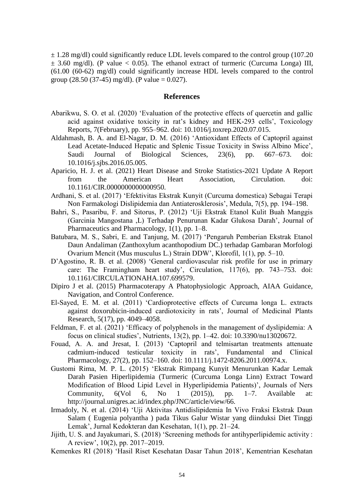$\pm$  1.28 mg/dl) could significantly reduce LDL levels compared to the control group (107.20  $\pm$  3.60 mg/dl). (P value  $\lt$  0.05). The ethanol extract of turmeric (Curcuma Longa) III, (61.00 (60-62) mg/dl) could significantly increase HDL levels compared to the control group (28.50 (37-45) mg/dl). (P value =  $0.027$ ).

#### **References**

- Abarikwu, S. O. et al. (2020) 'Evaluation of the protective effects of quercetin and gallic acid against oxidative toxicity in rat's kidney and HEK-293 cells', Toxicology Reports, 7(February), pp. 955–962. doi: 10.1016/j.toxrep.2020.07.015.
- Aldahmash, B. A. and El-Nagar, D. M. (2016) 'Antioxidant Effects of Captopril against Lead Acetate-Induced Hepatic and Splenic Tissue Toxicity in Swiss Albino Mice', Saudi Journal of Biological Sciences, 23(6), pp. 667–673. doi: 10.1016/j.sjbs.2016.05.005.
- Aparicio, H. J. et al. (2021) Heart Disease and Stroke Statistics-2021 Update A Report from the American Heart Association, Circulation. doi: 10.1161/CIR.0000000000000950.
- Ardhani, S. et al. (2017) 'Efektivitas Ekstrak Kunyit (Curcuma domestica) Sebagai Terapi Non Farmakologi Dislipidemia dan Antiaterosklerosis', Medula, 7(5), pp. 194–198.
- Bahri, S., Pasaribu, F. and Sitorus, P. (2012) 'Uji Ekstrak Etanol Kulit Buah Manggis (Garcinia Mangostana ,L) Terhadap Penurunan Kadar Glukosa Darah', Journal of Pharmaceutics and Pharmacology, 1(1), pp. 1–8.
- Batubara, M. S., Sabri, E. and Tanjung, M. (2017) 'Pengaruh Pemberian Ekstrak Etanol Daun Andaliman (Zanthoxylum acanthopodium DC.) terhadap Gambaran Morfologi Ovarium Mencit (Mus musculus L.) Strain DDW', Klorofil, 1(1), pp. 5–10.
- D'Agostino, R. B. et al. (2008) 'General cardiovascular risk profile for use in primary care: The Framingham heart study', Circulation, 117(6), pp. 743–753. doi: 10.1161/CIRCULATIONAHA.107.699579.
- Dipiro J et al. (2015) Pharmacoterapy A Phatophysiologic Approach, AIAA Guidance, Navigation, and Control Conference.
- El-Sayed, E. M. et al. (2011) 'Cardioprotective effects of Curcuma longa L. extracts against doxorubicin-induced cardiotoxicity in rats', Journal of Medicinal Plants Research, 5(17), pp. 4049–4058.
- Feldman, F. et al. (2021) 'Efficacy of polyphenols in the management of dyslipidemia: A focus on clinical studies', Nutrients, 13(2), pp. 1–42. doi: 10.3390/nu13020672.
- Fouad, A. A. and Jresat, I. (2013) 'Captopril and telmisartan treatments attenuate cadmium-induced testicular toxicity in rats', Fundamental and Clinical Pharmacology, 27(2), pp. 152–160. doi: 10.1111/j.1472-8206.2011.00974.x.
- Gustomi Rima, M. P. L. (2015) 'Ekstrak Rimpang Kunyit Menurunkan Kadar Lemak Darah Pasien Hiperlipidemia (Turmeric (Curcuma Longa Linn) Extract Toward Modification of Blood Lipid Level in Hyperlipidemia Patients)', Journals of Ners Community,  $6(Vol\ 6, No\ 1\ (2015))$ , pp. 1–7. Available at: http://journal.unigres.ac.id/index.php/JNC/article/view/66.
- Irmadoly, N. et al. (2014) 'Uji Aktivitas Antidislipidemia In Vivo Fraksi Ekstrak Daun Salam ( Eugenia polyantha ) pada Tikus Galur Wistar yang diinduksi Diet Tinggi Lemak', Jurnal Kedokteran dan Kesehatan, 1(1), pp. 21–24.
- Jijith, U. S. and Jayakumari, S. (2018) 'Screening methods for antihyperlipidemic activity : A review', 10(2), pp. 2017–2019.
- Kemenkes RI (2018) 'Hasil Riset Kesehatan Dasar Tahun 2018', Kementrian Kesehatan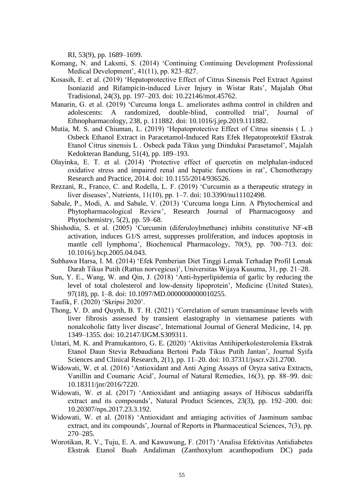RI, 53(9), pp. 1689–1699.

- Komang, N. and Laksmi, S. (2014) 'Continuing Continuing Development Professional Medical Development', 41(11), pp. 823–827.
- Kosasih, E. et al. (2019) 'Hepatoprotective Effect of Citrus Sinensis Peel Extract Against Isoniazid and Rifampicin-induced Liver Injury in Wistar Rats', Majalah Obat Tradisional, 24(3), pp. 197–203. doi: 10.22146/mot.45762.
- Manarin, G. et al. (2019) 'Curcuma longa L. ameliorates asthma control in children and adolescents: A randomized, double-blind, controlled trial', Journal of Ethnopharmacology, 238, p. 111882. doi: 10.1016/j.jep.2019.111882.
- Mutia, M. S. and Chiuman, L. (2019) 'Hepatoprotective Effect of Citrus sinensis ( L .) Osbeck Ethanol Extract in Paracetamol-Induced Rats Efek Hepatoprotektif Ekstrak Etanol Citrus sinensis L . Osbeck pada Tikus yang Diinduksi Parasetamol', Majalah Kedokteran Bandung, 51(4), pp. 189–193.
- Olayinka, E. T. et al. (2014) 'Protective effect of quercetin on melphalan-induced oxidative stress and impaired renal and hepatic functions in rat', Chemotherapy Research and Practice, 2014. doi: 10.1155/2014/936526.
- Rezzani, R., Franco, C. and Rodella, L. F. (2019) 'Curcumin as a therapeutic strategy in liver diseases', Nutrients, 11(10), pp. 1–7. doi: 10.3390/nu11102498.
- Sabale, P., Modi, A. and Sabale, V. (2013) 'Curcuma longa Linn. A Phytochemical and Phytopharmacological Review', Research Journal of Pharmacognosy and Phytochemistry,  $5(2)$ , pp.  $59-68$ .
- Shishodia, S. et al. (2005) 'Curcumin (diferuloylmethane) inhibits constitutive NF-κB activation, induces G1/S arrest, suppresses proliferation, and induces apoptosis in mantle cell lymphoma', Biochemical Pharmacology, 70(5), pp. 700–713. doi: 10.1016/j.bcp.2005.04.043.
- Subhawa Harsa, I. M. (2014) 'Efek Pemberian Diet Tinggi Lemak Terhadap Profil Lemak Darah Tikus Putih (Rattus norvegicus)', Universitas Wijaya Kusuma, 31, pp. 21–28.
- Sun, Y. E., Wang, W. and Qin, J. (2018) 'Anti-hyperlipidemia of garlic by reducing the level of total cholesterol and low-density lipoprotein', Medicine (United States), 97(18), pp. 1–8. doi: 10.1097/MD.0000000000010255.
- Taufik, F. (2020) 'Skripsi 2020'.
- Thong, V. D. and Quynh, B. T. H. (2021) 'Correlation of serum transaminase levels with liver fibrosis assessed by transient elastography in vietnamese patients with nonalcoholic fatty liver disease', International Journal of General Medicine, 14, pp. 1349–1355. doi: 10.2147/IJGM.S309311.
- Untari, M. K. and Pramukantoro, G. E. (2020) 'Aktivitas Antihiperkolesterolemia Ekstrak Etanol Daun Stevia Rebaudiana Bertoni Pada Tikus Putih Jantan', Journal Syifa Sciences and Clinical Research, 2(1), pp. 11–20. doi: 10.37311/jsscr.v2i1.2700.
- Widowati, W. et al. (2016) 'Antioxidant and Anti Aging Assays of Oryza sativa Extracts, Vanillin and Coumaric Acid', Journal of Natural Remedies, 16(3), pp. 88–99. doi: 10.18311/jnr/2016/7220.
- Widowati, W. et al. (2017) 'Antioxidant and antiaging assays of Hibiscus sabdariffa extract and its compounds', Natural Product Sciences, 23(3), pp. 192–200. doi: 10.20307/nps.2017.23.3.192.
- Widowati, W. et al. (2018) 'Antioxidant and antiaging activities of Jasminum sambac extract, and its compounds', Journal of Reports in Pharmaceutical Sciences, 7(3), pp. 270–285.
- Worotikan, R. V., Tuju, E. A. and Kawuwung, F. (2017) 'Analisa Efektivitas Antidiabetes Ekstrak Etanol Buah Andaliman (Zanthoxylum acanthopodium DC) pada